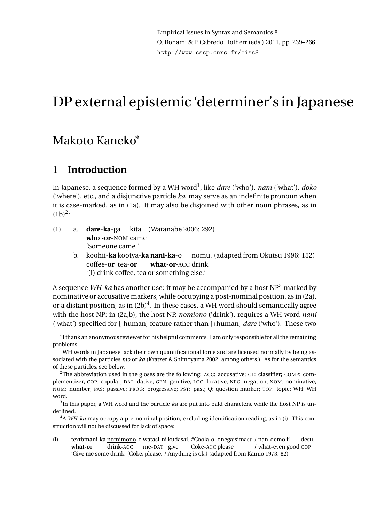Empirical Issues in Syntax and Semantics 8 O. Bonami & P. Cabredo Hofherr (eds.) 2011, pp. 239–266 http://www.cssp.cnrs.fr/eiss8

# DP external epistemic 'determiner's in Japanese

# Makoto Kaneko<sup>∗</sup>

# **1 Introduction**

In Japanese, a sequence formed by a WH word<sup>1</sup> , like *dare* ('who'), *nani* ('what'), *doko* ('where'), etc., and a disjunctive particle *ka*, may serve as an indefinite pronoun when it is case-marked, as in (1a). It may also be disjoined with other noun phrases, as in  $(1b)^2$ :

- (1) a. **dare**-**ka**-ga **who -or**-NOM came kita (Watanabe 2006: 292) 'Someone came.'
	- b. koohii-**ka** kootya-**ka nani-ka**-o nomu. (adapted from Okutsu 1996: 152) coffee-**or** tea-**or what-or-**ACC drink '(I) drink coffee, tea or something else.'

A sequence *WH-ka* has another use: it may be accompanied by a host  $NP<sup>3</sup>$  marked by nominative or accusative markers, while occupying a post-nominal position, as in (2a), or a distant position, as in  $(2b)^4$ . In these cases, a WH word should semantically agree with the host NP: in (2a,b), the host NP, *nomiono* ('drink'), requires a WH word *nani* ('what') specified for [-human] feature rather than [+human] *dare* ('who'). These two

(i) textbfnani-ka <u>nomimono</u>-o watasi-ni kudasai. #Coola-o onegaisimasu / nan-demo ii **what-or** drink-ACC me-DAT give Coke-ACC please / what-even good COP desu. 'Give me some drink. {Coke, please. / Anything is ok.} (adapted from Kamio 1973: 82)

<sup>∗</sup> I thank an anonymous reviewer for his helpful comments. I am only responsible for all the remaining problems.

 $1$ WH words in Japanese lack their own quantificational force and are licensed normally by being associated with the particles *mo* or *ka* (Kratzer & Shimoyama 2002, among others.). As for the semantics of these particles, see below.

<sup>&</sup>lt;sup>2</sup>The abbreviation used in the gloses are the following: ACC: accusative; CL: classifier; COMP: complementizer; COP: copular; DAT: dative; GEN: genitive; LOC: locative; NEG: negation; NOM: nominative; NUM: number; PAS: passive; PROG: progressive; PST: past; Q: question marker; TOP: topic; WH: WH word.

 $^3$ In this paper, a WH word and the particle *ka* are put into bald characters, while the host NP is underlined.

<sup>4</sup>A *WH-ka* may occupy a pre-nominal position, excluding identification reading, as in (i). This construction will not be discussed for lack of space: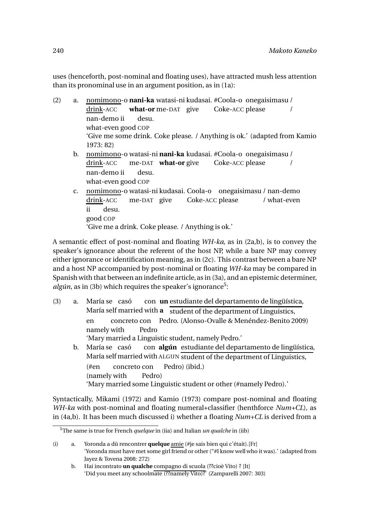uses (henceforth, post-nominal and floating uses), have attracted mush less attention than its pronominal use in an argument position, as in (1a):

(2) a. nomimono-o nani-ka watasi-ni kudasai. #Coola-o onegaisimasu / drink-ACC what-or me-DAT give Coke-ACC please / nan-demo ii what-even good COP desu. 'Give me some drink. Coke please. / Anything is ok.' (adapted from Kamio 1973: 82) b. <u>nomimono</u>-o watasi-ni **nani-ka** kudasai. #Coola-o onegaisimasu / drink-ACC me-DAT **what-or** give Coke-ACC please / nan-demo ii what-even good COP desu. c. nomimono-o watasi-ni kudasai. Coola-o onegaisimasu / nan-demo drink-ACC me-DAT give Coke-ACC please / what-even ii desu.

```
good
COP
```
'Give me a drink. Coke please. / Anything is ok.'

A semantic effect of post-nominal and floating *WH-ka*, as in (2a,b), is to convey the speaker's ignorance about the referent of the host NP, while a bare NP may convey either ignorance or identification meaning, as in (2c). This contrast between a bare NP and a host NP accompanied by post-nominal or floating *WH-ka* may be compared in Spanish with that between an indefinite article, as in (3a), and an epistemic determiner, algún, as in (3b) which requires the speaker's ignorance<sup>5</sup>:

- (3) a. María se casó María self married with **a** student of the department of Linguistics, con **un** estudiante del departamento de lingüística, en namely with concreto con Pedro. (Alonso-Ovalle & Menéndez-Benito 2009) Pedro 'Mary married a Linguistic student, namely Pedro.' b. María se casó María self married with ALGUN student of the department of Linguistics, con **algún** estudiante del departamento de lingüística, (#en (namely with concreto con Pedro) Pedro) (ibid.)
	- 'Mary married some Linguistic student or other (#namely Pedro).'

Syntactically, Mikami (1972) and Kamio (1973) compare post-nominal and floating *WH-ka* with post-nominal and floating numeral+classifier (henthforce *Num+CL*), as in (4a,b). It has been much discussed i) whether a floating *Num+CL* is derived from a

<sup>5</sup>The same is true for French *quelque* in (iia) and Italian *un qualche* in (iib)

<sup>(</sup>i) a. Yoronda a dû rencontrer **quelque** amie (#je sais bien qui c'était).[Fr] 'Yoronda must have met some girl friend or other ("#I know well who it was).' (adapted from Jayez & Tovena 2008: 272)

b. Hai incontrato **un qualche** compagno di scuola (??cioè Vito) ? [It] 'Did you meet any schoolmate (??namely Vito)?' (Zamparelli 2007: 303)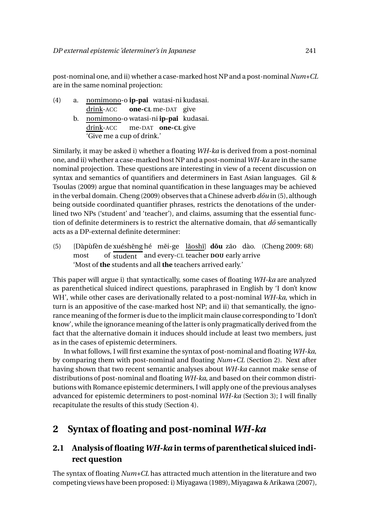post-nominal one, and ii) whether a case-marked host NP and a post-nominal *Num+CL* are in the same nominal projection:

- (4) a. nomimono-o **ip-pai** watasi-ni kudasai. drink-ACC **one-CL** me-DAT give
	- b. <u>nomimono</u>-o watasi-ni **ip-pai** kudasai. drink-ACC me-DAT **one-CL** give 'Give me a cup of drink.'

Similarly, it may be asked i) whether a floating *WH-ka* is derived from a post-nominal one, and ii) whether a case-marked host NP and a post-nominal*WH-ka* are in the same nominal projection. These questions are interesting in view of a recent discussion on syntax and semantics of quantifiers and determiners in East Asian languages. Gil & Tsoulas (2009) argue that nominal quantification in these languages may be achieved in the verbal domain. Cheng (2009) observes that a Chinese adverb  $d\bar{\sigma}u$  in (5), although being outside coordinated quantifier phrases, restricts the denotations of the underlined two NPs ('student' and 'teacher'), and claims, assuming that the essential function of definite determiners is to restrict the alternative domain, that *do*<sup>s</sup> semantically acts as a DP-external definite determiner:

(5) [Dàpùfèn de xuéshēng hé mĕi-ge lǎoshī] **dōu** zǎo dào. (Cheng 2009: 68) most of student and every-CL teacher **DOU** early arrive 'Most of **the** students and all **the** teachers arrived early.'

This paper will argue i) that syntactically, some cases of floating *WH-ka* are analyzed as parenthetical sluiced indirect questions, paraphrased in English by 'I don't know WH', while other cases are derivationally related to a post-nominal *WH-ka*, which in turn is an appositive of the case-marked host NP; and ii) that semantically, the ignorance meaning of the former is due to the implicit main clause corresponding to 'I don't know', while the ignorance meaning of the latter is only pragmatically derived from the fact that the alternative domain it induces should include at least two members, just as in the cases of epistemic determiners.

In what follows, I will first examine the syntax of post-nominal and floating *WH-ka*, by comparing them with post-nominal and floating *Num+CL* (Section 2). Next after having shown that two recent semantic analyses about *WH-ka* cannot make sense of distributions of post-nominal and floating *WH-ka*, and based on their common distributions with Romance epistemic determiners, I will apply one of the previous analyses advanced for epistemic determiners to post-nominal *WH-ka* (Section 3); I will finally recapitulate the results of this study (Section 4).

# **2 Syntax of floating and post-nominal** *WH-ka*

# **2.1 Analysis of floating** *WH-ka* **in terms of parenthetical sluiced indirect question**

The syntax of floating *Num+CL* has attracted much attention in the literature and two competing views have been proposed: i) Miyagawa (1989), Miyagawa & Arikawa (2007),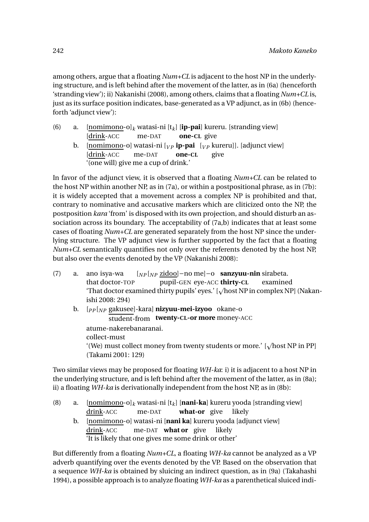among others, argue that a floating *Num+CL* is adjacent to the host NP in the underlying structure, and is left behind after the movement of the latter, as in (6a) (henceforth 'stranding view'); ii) Nakanishi (2008), among others, claims that a floating *Num+CL* is, just as its surface position indicates, base-generated as a VP adjunct, as in (6b) (henceforth 'adjunct view'):

(6) a. [nomimono-o]*<sup>k</sup>* watasi-ni [t*k*] [**ip-pai**] kureru. [stranding view] [drink-ACC me-DAT **one-CL** give b. <u>[nomimono</u>-o] watasi-ni [<sub>VP</sub> **ip-pai** [<sub>VP</sub> kureru]]. [adjunct view] [drink-ACC me-DAT **one-CL** give '(one will) give me a cup of drink.'

In favor of the adjunct view, it is observed that a floating *Num+CL* can be related to the host NP within another NP, as in (7a), or within a postpositional phrase, as in (7b): it is widely accepted that a movement across a complex NP is prohibited and that, contrary to nominative and accusative markers which are cliticized onto the NP, the postposition *kara* 'from' is disposed with its own projection, and should disturb an association across its boundary. The acceptability of (7a,b) indicates that at least some cases of floating *Num+CL* are generated separately from the host NP since the underlying structure. The VP adjunct view is further supported by the fact that a floating *Num+CL* semantically quantifies not only over the referents denoted by the host NP, but also over the events denoted by the VP (Nakanishi 2008):

- (7) a. ano isya-wa that doctor-TOP [*NP* [*NP* zidoo]−no me]−o **sanzyuu-nin** sirabeta. pupil-GEN eye-ACC **thirty-CL** examined 'That doctor examined thirty pupils' eyes.' [vhost NP in complex NP] (Nakanishi 2008: 294)
	- b. [*PP* [*NP* gakusee]-kara] **nizyuu-mei-izyoo** okane-o student-from **twenty-CL-or more** money-ACC atume-nakerebanaranai. collect-must '(We) must collect money from twenty students or more.' [ $\sqrt{\text{host NP}}$  in PP] (Takami 2001: 129)

Two similar views may be proposed for floating *WH-ka*: i) it is adjacent to a host NP in the underlying structure, and is left behind after the movement of the latter, as in (8a); ii) a floating *WH-ka* is derivationally independent from the host NP, as in (8b):

- (8) a. [nomimono-o]*<sup>k</sup>* watasi-ni [t*k*] [**nani-ka**] kureru yooda [stranding view] drink-ACC me-DAT **what-or** give likely
	- b. <u>[nomimono</u>-o] watasi-ni [**nani ka**] kureru yooda [adjunct view] drink-ACC me-DAT **what or** give likely 'It is likely that one gives me some drink or other'

But differently from a floating *Num+CL*, a floating *WH-ka* cannot be analyzed as a VP adverb quantifying over the events denoted by the VP. Based on the observation that a sequence *WH-ka* is obtained by sluicing an indirect question, as in (9a) (Takahashi 1994), a possible approach is to analyze floating *WH-ka* as a parenthetical sluiced indi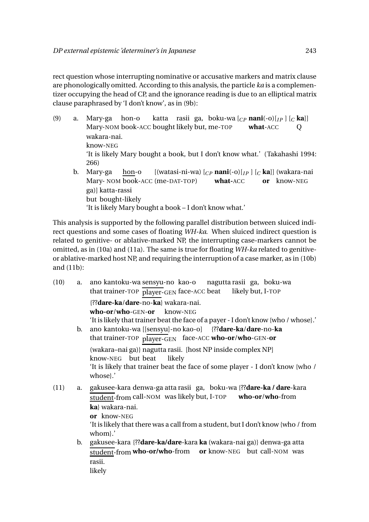rect question whose interrupting nominative or accusative markers and matrix clause are phonologically omitted. According to this analysis, the particle *ka* is a complementizer occupying the head of CP, and the ignorance reading is due to an elliptical matrix clause paraphrased by 'I don't know', as in (9b):

(9) a. Mary-ga hon-o Mary-NOM book-ACC bought likely but, me-TOP katta rasii ga, boku-wa [*CP* **nani**(-o)[*I P* ] [*<sup>C</sup>* **ka**]] **what**-ACC  $\overline{O}$ wakara-nai. know-NEG 'It is likely Mary bought a book, but I don't know what.' (Takahashi 1994: 266) b. Mary-ga Mary- NOM book-ACC (me-DAT-TOP) **what-**ACC hon-o [(watasi-ni-wa) [*CP* **nani**(-o)[*I P* ] [*<sup>C</sup>* **ka**]] (wakara-nai **or** know-NEG ga)] katta-rassi but bought-likely

'It is likely Mary bought a book – I don't know what.'

This analysis is supported by the following parallel distribution between sluiced indirect questions and some cases of floating *WH-ka*. When sluiced indirect question is related to genitive- or ablative-marked NP, the interrupting case-markers cannot be omitted, as in (10a) and (11a). The same is true for floating *WH-ka* related to genitiveor ablative-marked host NP, and requiring the interruption of a case marker, as in (10b) and (11b):

(10) a. ano kantoku-wa sensyu-no kao-o that trainer-TOP player-GEN face-ACC beat nagutta rasii ga, boku-wa likely but, I-TOP {??**dare-ka**/**dare**-no-**ka**} wakara-nai. **who-or**/**who**-GEN-**or** know-NEG 'It is likely that trainer beat the face of a payer - I don't know {who / whose}.' b. ano kantoku-wa [[sensyu]-no kao-o] that trainer-TOP player-GEN face-ACC **who-or**/**who**-GEN-**or** {??**dare-ka**/**dare**-no-**ka** (wakara-nai ga)} nagutta rasii. [host NP inside complex NP] know-NEG but beat likely 'It is likely that trainer beat the face of some player - I don't know {who / whose}.' (11) a. gakusee-kara denwa-ga atta rasii ga, boku-wa {??**dare-ka / dare**-kara student-from call-NOM was likely but, I-TOP **who-or**/**who**-from **ka**} wakara-nai. **or** know-NEG 'It is likely that there was a call from a student, but I don't know {who / from whom}.' b. gakusee-kara {??**dare-ka/dare**-kara **ka** (wakara-nai ga)} denwa-ga atta student-from **who-or/who**-from **or** know-NEG but call-NOM was rasii. likely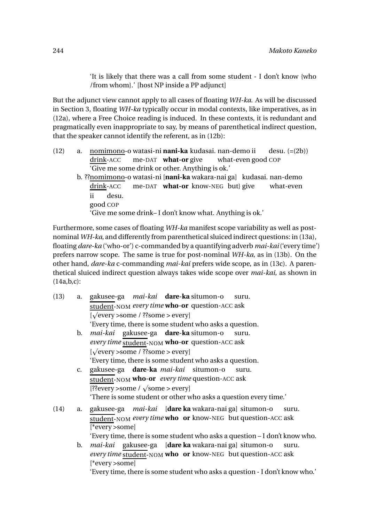'It is likely that there was a call from some student - I don't know {who /from whom}.' [host NP inside a PP adjunct]

But the adjunct view cannot apply to all cases of floating *WH-ka*. As will be discussed in Section 3, floating *WH-ka* typically occur in modal contexts, like imperatives, as in (12a), where a Free Choice reading is induced. In these contexts, it is redundant and pragmatically even inappropriate to say, by means of parenthetical indirect question, that the speaker cannot identify the referent, as in (12b):

- (12) a. <u>nomimono</u>-o watasi-ni **nani-ka** kudasai. nan-demo ii drink-ACC me-DAT **what-or** give what-even good COP desu. (=(2b)) 'Give me some drink or other. Anything is ok.'
	- b. ??<u>nomimono</u>-o watasi-ni [**nani-ka** wakara-nai ga] kudasai. nan-demo drink-ACC me-DAT **what-or** know-NEG but} give what-even ii good COP desu. 'Give me some drink– I don't know what. Anything is ok.'

Furthermore, some cases of floating *WH-ka* manifest scope variability as well as postnominal *WH-ka*, and differently from parenthetical sluiced indirect questions: in (13a), floating *dare-ka* ('who-or') c-commanded by a quantifying adverb *mai-kai*('every time') prefers narrow scope. The same is true for post-nominal *WH-ka*, as in (13b). On the other hand, *dare-ka* c-commanding *mai-kai* prefers wide scope, as in (13c). A parenthetical sluiced indirect question always takes wide scope over *mai-kai*, as shown in (14a,b,c):

| (13) | a.             | gakusee-ga <i>mai-kai</i> <b>dare-ka</b> situmon-o<br>suru.                  |
|------|----------------|------------------------------------------------------------------------------|
|      |                | student-NOM every time who-or question-ACC ask                               |
|      |                | [ $\sqrt{\text{every}} >$ some / ??some > every]                             |
|      |                | 'Every time, there is some student who asks a question.                      |
|      | $\mathbf{b}$ . | <i>mai-kai</i> gakusee-ga <b>dare-ka</b> situmon-o<br>suru.                  |
|      |                | every time student-NOM who-or question-ACC ask                               |
|      |                | [ $\sqrt{$ every > some / ??some > every]                                    |
|      |                | 'Every time, there is some student who asks a question.                      |
|      | $\mathbf{c}$ . | gakusee-ga dare-ka mai-kai situmon-o<br>suru.                                |
|      |                | student-NOM <b>who-or</b> every time question-ACC ask                        |
|      |                | [??every >some / $\sqrt{\text{some}}$ > every]                               |
|      |                | "There is some student or other who asks a question every time."             |
| (14) | a.             | gakusee-ga <i>mai-kai</i> [ <b>dare ka</b> wakara-nai ga] situmon-o<br>suru. |
|      |                | student-NOM every time who or know-NEG but question-ACC ask                  |
|      |                | [*every >some]                                                               |
|      |                | 'Every time, there is some student who asks a question - I don't know who.   |
|      | b.             | <i>mai-kai</i> gakusee-ga [ <b>dare ka</b> wakara-nai ga] situmon-o<br>suru. |
|      |                | <i>every time</i> student-NOM <b>who</b> or know-NEG but question-ACC ask    |
|      |                | [*every >some]                                                               |
|      |                |                                                                              |

'Every time, there is some student who asks a question - I don't know who.'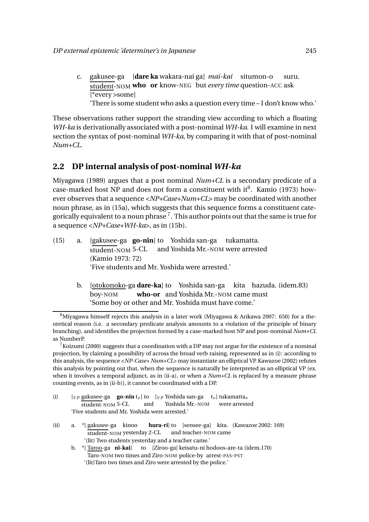- c. gakusee-ga [**dare ka** wakara-nai ga] *mai-kai* situmon-o student-NOM **who or** know-NEG but *every time* question-ACC ask suru. [\*every >some]
	- 'There is some student who asks a question every time I don't know who.'

These observations rather support the stranding view according to which a floating *WH-ka* is derivationally associated with a post-nominal *WH-ka*. I will examine in next section the syntax of post-nominal *WH-ka*, by comparing it with that of post-nominal *Num+CL*.

## **2.2 DP internal analysis of post-nominal** *WH-ka*

Miyagawa (1989) argues that a post nominal *Num+CL* is a secondary predicate of a case-marked host NP and does not form a constituent with it<sup>6</sup>. Kamio (1973) however observes that a sequence <*NP+Case+Num+CL*> may be coordinated with another noun phrase, as in (15a), which suggests that this sequence forms a constituent categorically equivalent to a noun phrase  $^7.$  This author points out that the same is true for a sequence <*NP+Case+WH-ka*>, as in (15b).

- (15) a. [gakusee-ga **go-nin**] to Yoshida san-ga tukamatta. student-NOM 5-CL and Yoshida Mr.-NOM were arrested (Kamio 1973: 72) 'Five students and Mr. Yoshida were arrested.'
	- b. <u>[otokonoko</u>-ga **dare-ka**] to Yoshida san-ga kita hazuda. (idem.83) boy-NOM **who-or** and Yoshida Mr.-NOM came must 'Some boy or other and Mr. Yoshida must have come.'

<sup>7</sup> Koizumi (2000) suggests that a coordination with a DP may not argue for the existence of a nominal projection, by claiming a possibility of across the broad verb raising, represented as in (i): according to this analysis, the sequence <*NP-Case+ Num+CL*> may instantiate an elliptical VP. Kawazoe (2002) refutes this analysis by pointing out that, when the sequence is naturally be interpreted as an elliptical VP (ex. when it involves a temporal adjunct, as in (ii-a), or when a *Num+CL* is replaced by a measure phrase counting events, as in (ii-b)), it cannot be coordinated with a DP.

- (i)  $[v_P]$  gakusee-ga **go-nin**  $t_v$ ] to  $[v_P]$  Yoshida san-ga  $t_v$ ] tukamatta<sub>*v*</sub> student-NOM 5-CL and Yoshida Mr.-NOM were arrested 'Five students and Mr. Yoshida were arrested.'
- (ii) a. \*[ gakusee-ga kinoo student-NOM yesterday 2-CL **hura-ri**] to [sensee-ga] kita. (Kawazoe 2002: 169) and teacher-NOM came '(lit) Two students yesterday and a teacher came.'
	- b. \*[ Taroo-ga **ni-kai**] to [Ziroo-ga] keisatu-ni hodoos-are-ta (idem.170) Taro-NOM two times and Ziro-NOM police-by arrest-PAS-PST '(lit)Taro two times and Ziro were arrested by the police.'

 $6$ Miyagawa himself rejects this analysis in a later work (Miyagawa & Arikawa 2007: 650) for a theoretical reason (i.e. a secondary predicate analysis amounts to a violation of the principle of binary branching), and identifies the projection formed by a case-marked host NP and post-nominal *Num+CL* as NumberP.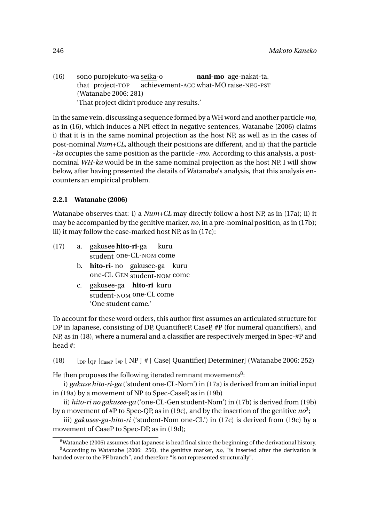(16) sono purojekuto-wa seika-o that project-TOP achievement-ACC what-MO raise-NEG-PST **nani-mo** age-nakat-ta. (Watanabe 2006: 281) 'That project didn't produce any results.'

In the same vein, discussing a sequence formed by a WH word and another particle *mo*, as in (16), which induces a NPI effect in negative sentences, Watanabe (2006) claims i) that it is in the same nominal projection as the host NP, as well as in the cases of post-nominal *Num+CL*, although their positions are different, and ii) that the particle -*ka* occupies the same position as the particle -*mo*. According to this analysis, a postnominal *WH-ka* would be in the same nominal projection as the host NP. I will show below, after having presented the details of Watanabe's analysis, that this analysis encounters an empirical problem.

#### **2.2.1 Watanabe (2006)**

Watanabe observes that: i) a *Num+CL* may directly follow a host NP, as in (17a); ii) it may be accompanied by the genitive marker, *no*, in a pre-nominal position, as in (17b); iii) it may follow the case-marked host NP, as in (17c):

- (17) a. gakusee **hito-ri**-ga student one-CL-NOM come kuru b. **hito-ri**-no gakusee-ga kuru
	- one-CL GEN student-NOM come
	- c. gakusee-ga **hito-ri** kuru student-NOM one-CL come 'One student came.'

To account for these word orders, this author first assumes an articulated structure for DP in Japanese, consisting of DP, QuantifierP, CaseP, #P (for numeral quantifiers), and NP, as in (18), where a numeral and a classifier are respectively merged in Spec-#P and head #:

(18)  $\left[ \text{op} \right]$   $\left[ \text{op} \right]$   $\left[ \text{cap} \right]$   $\left[ \text{NP} \right]$  # ] Case] Quantifier] Determiner] (Watanabe 2006: 252)

He then proposes the following iterated remnant movements $^8\!$ :

i) *gakuse hito-ri-ga* ('student one-CL-Nom') in (17a) is derived from an initial input in (19a) by a movement of NP to Spec-CaseP, as in (19b)

ii) *hito-ri no gakusee-ga* ('one-CL-Gen student-Nom') in (17b) is derived from (19b) by a movement of #P to Spec-QP, as in (19c), and by the insertion of the genitive  $no^9;$ 

iii) *gakusee-ga-hito-ri* ('student-Nom one-CL') in (17c) is derived from (19c) by a movement of CaseP to Spec-DP, as in (19d);

 $8$ Watanabe (2006) assumes that Japanese is head final since the beginning of the derivational history. <sup>9</sup>According to Watanabe (2006: 256), the genitive marker, *no*, "is inserted after the derivation is handed over to the PF branch", and therefore "is not represented structurally".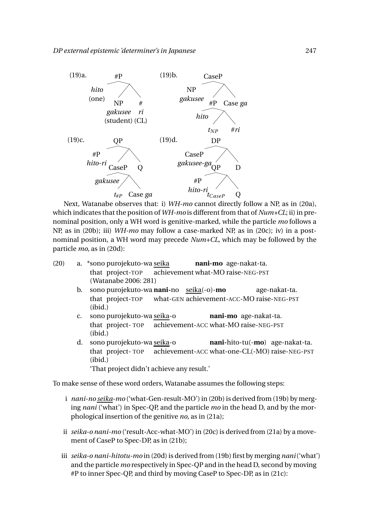

Next, Watanabe observes that: i) *WH-mo* cannot directly follow a NP, as in (20a), which indicates that the position of *WH-mo* is different from that of *Num+CL*; ii) in prenominal position, only a WH word is genitive-marked, while the particle *mo* follows a NP, as in (20b); iii) *WH-mo* may follow a case-marked NP, as in (20c); iv) in a postnominal position, a WH word may precede *Num+CL*, which may be followed by the particle *mo*, as in (20d):

- (20) a. \*sono purojekuto-wa seika that project-TOP achievement what-MO raise-NEG-PST **nani-mo** age-nakat-ta. (Watanabe 2006: 281)
	- b. sono purojekuto-wa **nani-**no seika(-o)-**mo** that project-TOP what-GEN achievement-ACC-MO raise-NEG-PST age-nakat-ta. (ibid.)
	- c. sono purojekuto-wa <u>seika</u>-o that project- TOP achievement-ACC what-MO raise-NEG-PST **nani-mo** age-nakat-ta. (ibid.)
	- d. sono purojekuto-wa <u>seika</u>-o that project- TOP achievement-ACC what-one-CL(-MO) raise-NEG-PST **nani-**hito-tu(-**mo**) age-nakat-ta. (ibid.) 'That project didn't achieve any result.'

To make sense of these word orders, Watanabe assumes the following steps:

- i *nani-no seika-mo* ('what-Gen-result-MO') in (20b) is derived from (19b) by merging *nani* ('what') in Spec-QP, and the particle *mo* in the head D, and by the morphological insertion of the genitive *no*, as in (21a);
- ii *seika-o nani-mo* ('result-Acc-what-MO') in (20c) is derived from (21a) by a movement of CaseP to Spec-DP, as in (21b);
- iii *seika-o nani-hitotu-mo* in (20d) is derived from (19b) first by merging *nani*('what') and the particle *mo* respectively in Spec-QP and in the head D, second by moving #P to inner Spec-QP, and third by moving CaseP to Spec-DP, as in (21c):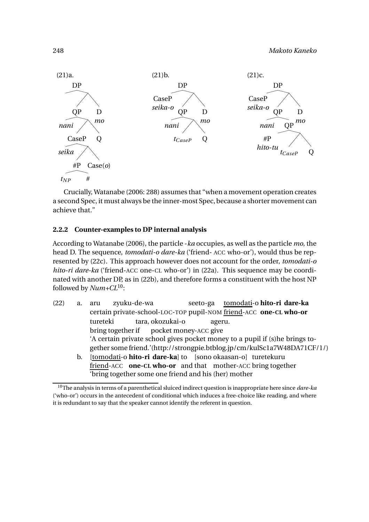#### 248 *Makoto Kaneko*



Crucially, Watanabe (2006: 288) assumes that "when a movement operation creates a second Spec, it must always be the inner-most Spec, because a shorter movement can achieve that."

#### **2.2.2 Counter-examples to DP internal analysis**

According to Watanabe (2006), the particle -*ka* occupies, as well as the particle *mo*, the head D. The sequence, *tomodati-o dare-ka* ('friend- ACC who-or'), would thus be represented by (22c). This approach however does not account for the order, *tomodati-o hito-ri dare-ka* ('friend-ACC one-CL who-or') in (22a). This sequence may be coordinated with another DP, as in (22b), and therefore forms a constituent with the host NP followed by *Num+CL*10:

(22) a. aru certain private-school-LOC-TOP pupil-NOM friend-ACC **one-CL who-or** zyuku-de-wa seeto-ga tomodati-o **hito-ri dare-ka** tureteki bring together if tara, okozukai-o pocket money-ACC give ageru. 'A certain private school gives pocket money to a pupil if (s)he brings together some friend.'(http://strongpie.btblog.jp/cm/kulSc1a7W48DA71CF/1/) b. [<u>tomodati</u>-o **hito-ri dare-ka**] to [sono okaasan-o] turetekuru friend-ACC **one-CL who-or** and that mother-ACC bring together

'bring together some one friend and his (her) mother

<sup>10</sup>The analysis in terms of a parenthetical sluiced indirect question is inappropriate here since *dare-ka* ('who-or') occurs in the antecedent of conditional which induces a free-choice like reading, and where it is redundant to say that the speaker cannot identify the referent in question.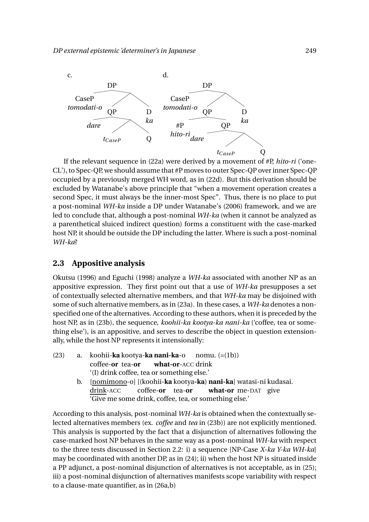

If the relevant sequence in (22a) were derived by a movement of #P, *hito-ri* ('one-CL'), to Spec-QP, we should assume that #P moves to outer Spec-QP over inner Spec-QP occupied by a previously merged WH word, as in (22d). But this derivation should be excluded by Watanabe's above principle that "when a movement operation creates a second Spec, it must always be the inner-most Spec". Thus, there is no place to put a post-nominal *WH-ka* inside a DP under Watanabe's (2006) framework, and we are led to conclude that, although a post-nominal *WH-ka* (when it cannot be analyzed as a parenthetical sluiced indirect question) forms a constituent with the case-marked host NP, it should be outside the DP including the latter. Where is such a post-nominal *WH-ka*?

### **2.3 Appositive analysis**

Okutsu (1996) and Eguchi (1998) analyze a *WH-ka* associated with another NP as an appositive expression. They first point out that a use of *WH-ka* presupposes a set of contextually selected alternative members, and that *WH-ka* may be disjoined with some of such alternative members, as in (23a). In these cases, a *WH-ka* denotes a nonspecified one of the alternatives. According to these authors, when it is preceded by the host NP, as in (23b), the sequence, *koohii-ka kootya-ka nani-ka* ('coffee, tea or something else'), is an appositive, and serves to describe the object in question extensionally, while the host NP represents it intensionally:

- (23) a. koohii-**ka** kootya-**ka nani-ka**-o coffee-**or** tea-**or what-or**-ACC drink nomu. (=(1b)) '(I) drink coffee, tea or something else.'
	- b. [nomimono-o] [(koohii-**ka** kootya**-ka**) **nani-ka**] watasi-ni kudasai. drink-ACC coffee-**or** tea-**or what-or** me-DAT give 'Give me some drink, coffee, tea, or something else.'

According to this analysis, post-nominal *WH-ka* is obtained when the contextually selected alternatives members (ex. *coffee* and *tea* in (23b)) are not explicitly mentioned. This analysis is supported by the fact that a disjunction of alternatives following the case-marked host NP behaves in the same way as a post-nominal *WH-ka* with respect to the three tests discussed in Section 2.2: i) a sequence [NP-Case *X-ka Y-ka WH-ka*] may be coordinated with another DP, as in (24); ii) when the host NP is situated inside a PP adjunct, a post-nominal disjunction of alternatives is not acceptable, as in (25); iii) a post-nominal disjunction of alternatives manifests scope variability with respect to a clause-mate quantifier, as in (26a,b)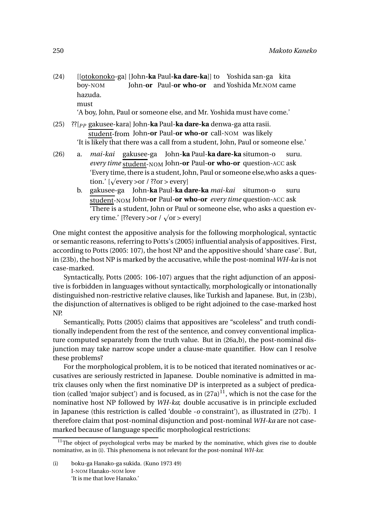(24) [[otokonoko-ga] [John**-ka** Paul**-ka dare-ka**]] to Yoshida san-ga kita boy-NOM John-**or** Paul-**or who-or** and Yoshida Mr.NOM came hazuda. must

'A boy, John, Paul or someone else, and Mr. Yoshida must have come.'

- (25) ??[*PP* gakusee-kara] John-**ka** Paul-**ka dare-ka** denwa-ga atta rasii. student-from John**-or** Paul-**or who-or** call-NOM was likely 'It is likely that there was a call from a student, John, Paul or someone else.'
- (26) a. *mai-kai* gakusee-ga John-**ka** Paul-**ka dare-ka** situmon-o *every time* student-NOM John**-or** Paul-**or who-or** question-ACC ask suru. 'Every time, there is a student, John, Paul or someone else,who asks a question.'  $[\sqrt{\text{every}} > \text{or} / ?? \text{or} > \text{every}]$ 
	- b. gakusee-ga John-**ka** Paul-**ka dare-ka** *mai-kai* situmon-o student-NOM John**-or** Paul-**or who-or** *every time* question-ACC ask suru 'There is a student, John or Paul or someone else, who asks a question every time.' [??every >or /  $\sqrt{or}$  > every]

One might contest the appositive analysis for the following morphological, syntactic or semantic reasons, referring to Potts's (2005) influential analysis of appositives. First, according to Potts (2005: 107), the host NP and the appositive should 'share case'. But, in (23b), the host NP is marked by the accusative, while the post-nominal *WH-ka* is not case-marked.

Syntactically, Potts (2005: 106-107) argues that the right adjunction of an appositive is forbidden in languages without syntactically, morphologically or intonationally distinguished non-restrictive relative clauses, like Turkish and Japanese. But, in (23b), the disjunction of alternatives is obliged to be right adjoined to the case-marked host NP.

Semantically, Potts (2005) claims that appositives are "scoleless" and truth conditionally independent from the rest of the sentence, and convey conventional implicature computed separately from the truth value. But in (26a,b), the post-nominal disjunction may take narrow scope under a clause-mate quantifier. How can I resolve these problems?

For the morphological problem, it is to be noticed that iterated nominatives or accusatives are seriously restricted in Japanese. Double nominative is admitted in matrix clauses only when the first nominative DP is interpreted as a subject of predication (called 'major subject') and is focused, as in  $(27a)^{11}$ , which is not the case for the nominative host NP followed by *WH-ka*; double accusative is in principle excluded in Japanese (this restriction is called 'double -*o* constraint'), as illustrated in (27b). I therefore claim that post-nominal disjunction and post-nominal *WH-ka* are not casemarked because of language specific morphological restrictions:

 $11$ The object of psychological verbs may be marked by the nominative, which gives rise to double nominative, as in (i). This phenomena is not relevant for the post-nominal *WH-ka*:

<sup>(</sup>i) boku-ga Hanako-ga sukida. (Kuno 1973 49) I-NOM Hanako-NOM love 'It is me that love Hanako.'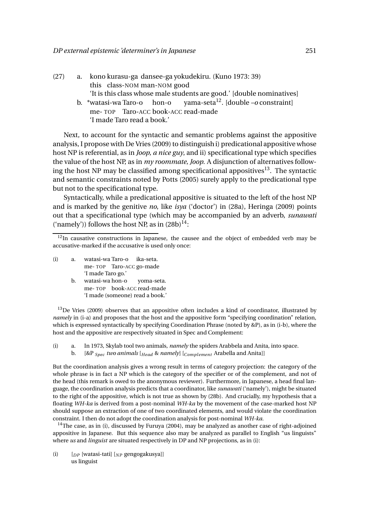- (27) a. kono kurasu-ga dansee-ga yokudekiru. (Kuno 1973: 39) this class-NOM man-NOM good 'It is this class whose male students are good.' [double nominatives]
	- b. \*watasi-wa Taro-o me- TOP Taro-ACC book-ACC read-made hon-o yama-seta<sup>12</sup> . [double *–o* constraint] 'I made Taro read a book.'

Next, to account for the syntactic and semantic problems against the appositive analysis, I propose with De Vries (2009) to distinguish i) predicational appositive whose host NP is referential, as in *Joop, a nice guy*, and ii) specificational type which specifies the value of the host NP, as in *my roommate, Joop*. A disjunction of alternatives following the host NP may be classified among specificational appositives<sup>13</sup>. The syntactic and semantic constraints noted by Potts (2005) surely apply to the predicational type but not to the specificational type.

Syntactically, while a predicational appositive is situated to the left of the host NP and is marked by the genitive *no*, like *isya* ('doctor') in (28a), Heringa (2009) points out that a specificational type (which may be accompanied by an adverb, *sunawati* ('namely')) follows the host NP, as in  $(28b)^{14}$ :

- (i) a. watasi-wa Taro-o me- TOP Taro-ACC go-made ika-seta. 'I made Taro go.'
	- b. watasi-wa hon-o me- TOP book-ACC read-made yoma-seta. 'I made (someone) read a book.'

 $13$ De Vries (2009) observes that an appositive often includes a kind of coordinator, illustrated by *namely* in (i-a) and proposes that the host and the appositive form "specifying coordination" relation, which is expressed syntactically by specifying Coordination Phrase (noted by &P), as in (i-b), where the host and the appositive are respectively situated in Spec and Complement:

- (i) a. In 1973, Skylab tool two animals, *namely* the spiders Arabbela and Anita, into space.
	- b. [&P *Spec two animals* [*Head* & *namely*] [*Complement* Arabella and Anita]]

But the coordination analysis gives a wrong result in terms of category projection: the category of the whole phrase is in fact a NP which is the category of the specifier or of the complement, and not of the head (this remark is owed to the anonymous reviewer). Furthermore, in Japanese, a head final language, the coordination analysis predicts that a coordinator, like *sunawati* ('namely'), might be situated to the right of the appositive, which is not true as shown by (28b). And crucially, my hypothesis that a floating *WH-ka* is derived from a post-nominal *WH-ka* by the movement of the case-marked host NP should suppose an extraction of one of two coordinated elements, and would violate the coordination constraint. I then do not adopt the coordination analysis for post-nominal *WH-ka.*

 $14$ The case, as in (i), discussed by Furuya (2004), may be analyzed as another case of right-adjoined appositive in Japanese. But this sequence also may be analyzed as parallel to English "us linguists" where *us* and *linguist* are situated respectively in DP and NP projections, as in (i):

(i) [*DP* [watasi-tati] [*NP* gengogakusya]] us linguist

 $12$ In causative constructions in Japanese, the causee and the object of embedded verb may be accusative-marked if the accusative is used only once: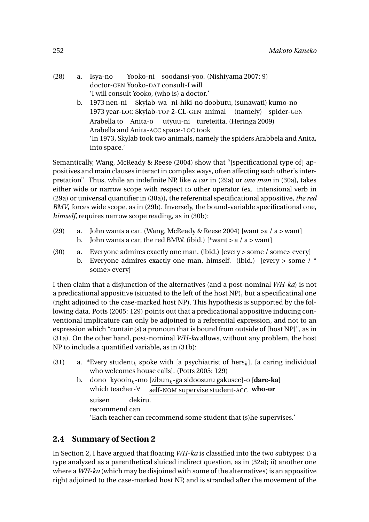- (28) a. Isya-no doctor-GEN Yooko-DAT consult-I will Yooko-ni soodansi-yoo. (Nishiyama 2007: 9) 'I will consult Yooko, (who is) a doctor.'
	- b. 1973 nen-ni Skylab-wa ni-hiki-no doobutu, (sunawati) kumo-no 1973 year-LOC Skylab-TOP 2-CL-GEN animal (namely) spider-GEN Arabella to Anita-o Arabella and Anita-ACC space-LOC took utyuu-ni tureteitta. (Heringa 2009) 'In 1973, Skylab took two animals, namely the spiders Arabbela and Anita, into space.'

Semantically, Wang, McReady & Reese (2004) show that "[specificational type of] appositives and main clauses interact in complex ways, often affecting each other's interpretation". Thus, while an indefinite NP, like *a car* in (29a) or *one man* in (30a), takes either wide or narrow scope with respect to other operator (ex. intensional verb in (29a) or universal quantifier in (30a)), the referential specificational appositive, *the red BMV*, forces wide scope, as in (29b). Inversely, the bound-variable specificational one, *himself*, requires narrow scope reading, as in (30b):

- (29) a. John wants a car. (Wang, McReady & Reese 2004) [want > a / a > want] b. John wants a car, the red BMW. (ibid.) [\*want > a / a > want]
- (30) a. Everyone admires exactly one man. (ibid.) [every > some / some> every] b. Everyone admires exactly one man, himself. (ibid.) [every  $>$  some /  $*$ some> every]

I then claim that a disjunction of the alternatives (and a post-nominal *WH-ka*) is not a predicational appositive (situated to the left of the host NP), but a specificatinal one (right adjoined to the case-marked host NP). This hypothesis is supported by the following data. Potts (2005: 129) points out that a predicational appositive inducing conventional implicature can only be adjoined to a referential expression, and not to an expression which "contain(s) a pronoun that is bound from outside of [host NP]", as in (31a). On the other hand, post-nominal *WH-ka* allows, without any problem, the host NP to include a quantified variable, as in (31b):

- (31) a. \*Every student<sub>k</sub> spoke with [a psychiatrist of hers<sub>k</sub>], [a caring individual who welcomes house calls]. (Potts 2005: 129)
	- b. dono kyooin*<sup>k</sup>* -mo [zibun*k*-ga sidoosuru gakusee]-o [**dare-ka**] which teacher-∀ self-NOM supervise student-ACC **who-or** suisen recommend can dekiru. 'Each teacher can recommend some student that (s)he supervises.'

# **2.4 Summary of Section 2**

In Section 2, I have argued that floating *WH-ka* is classified into the two subtypes: i) a type analyzed as a parenthetical sluiced indirect question, as in (32a); ii) another one where a *WH-ka* (which may be disjoined with some of the alternatives) is an appositive right adjoined to the case-marked host NP, and is stranded after the movement of the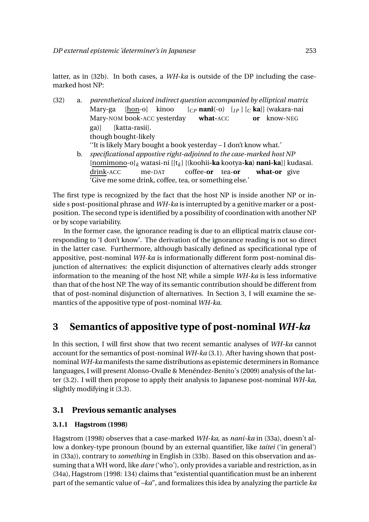latter, as in (32b). In both cases, a *WH-ka* is outside of the DP including the casemarked host NP:

| (32) | a.             | parenthetical sluiced indirect question accompanied by elliptical matrix      |
|------|----------------|-------------------------------------------------------------------------------|
|      |                | $[CP$ nani(-o) $[I_P] [C$ ka]] (wakara-nai<br>[hon-o] kinoo<br>Mary-ga        |
|      |                | Mary-NOM book-ACC yesterday<br>what-ACC or know-NEG                           |
|      |                | [katta-rasii].<br>ga)]                                                        |
|      |                | though bought-likely                                                          |
|      |                | "It is likely Mary bought a book yesterday - I don't know what."              |
|      | $\mathbf{b}$ . | specificational appostive right-adjoined to the case-marked host NP           |
|      |                | $[nomimono-o]_k$ watasi-ni $[[t_k]$ [(koohii-ka kootya-ka) nani-ka]] kudasai. |
|      |                | drink-ACC<br>me-DAT coffee- <b>or</b> tea- <b>or</b><br>what-or give          |
|      |                | 'Give me some drink, coffee, tea, or something else.'                         |

The first type is recognized by the fact that the host NP is inside another NP or inside s post-positional phrase and *WH-ka* is interrupted by a genitive marker or a postposition. The second type is identified by a possibility of coordination with another NP or by scope variability.

In the former case, the ignorance reading is due to an elliptical matrix clause corresponding to 'I don't know'. The derivation of the ignorance reading is not so direct in the latter case. Furthermore, although basically defined as specificational type of appositive, post-nominal *WH-ka* is informationally different form post-nominal disjunction of alternatives: the explicit disjunction of alternatives clearly adds stronger information to the meaning of the host NP, while a simple *WH-ka* is less informative than that of the host NP. The way of its semantic contribution should be different from that of post-nominal disjunction of alternatives. In Section 3, I will examine the semantics of the appositive type of post-nominal *WH-ka*.

# **3 Semantics of appositive type of post-nominal** *WH-ka*

In this section, I will first show that two recent semantic analyses of *WH-ka* cannot account for the semantics of post-nominal *WH-ka* (3.1). After having shown that postnominal *WH-ka* manifests the same distributions as epistemic determiners in Romance languages, I will present Alonso-Ovalle & Menéndez-Benito's (2009) analysis of the latter (3.2). I will then propose to apply their analysis to Japanese post-nominal *WH-ka*, slightly modifying it (3.3).

## **3.1 Previous semantic analyses**

## **3.1.1 Hagstrom (1998)**

Hagstrom (1998) observes that a case-marked *WH-ka*, as *nani-ka* in (33a), doesn't allow a donkey-type pronoun (bound by an external quantifier, like *taitei* ('in general') in (33a)), contrary to *something* in English in (33b). Based on this observation and assuming that a WH word, like *dare* ('who'), only provides a variable and restriction, as in (34a), Hagstrom (1998: 134) claims that "existential quantification must be an inherent part of the semantic value of *–ka*", and formalizes this idea by analyzing the particle *ka*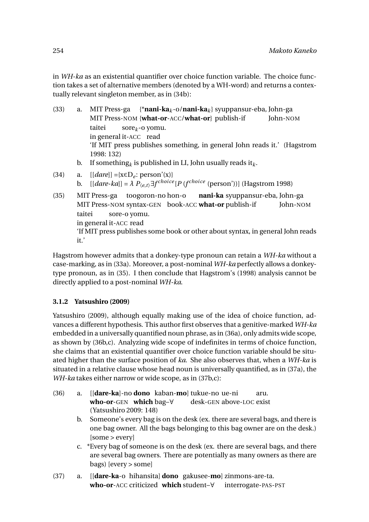in *WH-ka* as an existential quantifier over choice function variable. The choice function takes a set of alternative members (denoted by a WH-word) and returns a contextually relevant singleton member, as in (34b):

(33) a. MIT Press-ga MIT Press-NOM {**what-or**-ACC/**what-or**} publish-if {\***nani-ka***<sup>k</sup>* -o/**nani-ka***<sup>k</sup>* } syuppansur-eba, John-ga John-NOM taitei in general it-ACC read sore*<sup>k</sup>* -o yomu. 'If MIT press publishes something, in general John reads it.' (Hagstrom 1998: 132) b. If something<sub>k</sub> is published in LI, John usually reads it<sub>k</sub>. (34) a.  $[[dare]] = \{x \in D_e : \text{person}'(x)\}$ <br>b.  $[[dare-kal] = \lambda P_{\ell} \wedge \exists f^{choice}$ b.  $\left[ \frac{[dare-ka]}{=} \lambda P_{\langle e,t \rangle} \exists f^{choice} [P(f^{choice} (person'))]} \right]$  (Hagstrom 1998) (35) MIT Press-ga toogoron-no hon-o MIT Press-NOM syntax-GEN book-ACC **what-or** publish-if **nani-ka** syuppansur-eba, John-ga John-NOM taitei in general it-ACC read sore-o yomu. 'If MIT press publishes some book or other about syntax, in general John reads it.'

Hagstrom however admits that a donkey-type pronoun can retain a *WH-ka* without a case-marking, as in (33a). Moreover, a post-nominal *WH-ka* perfectly allows a donkeytype pronoun, as in (35). I then conclude that Hagstrom's (1998) analysis cannot be directly applied to a post-nominal *WH-ka*.

### **3.1.2 Yatsushiro (2009)**

Yatsushiro (2009), although equally making use of the idea of choice function, advances a different hypothesis. This author first observes that a genitive-marked *WH-ka* embedded in a universally quantified noun phrase, as in (36a), only admits wide scope, as shown by (36b,c). Analyzing wide scope of indefinites in terms of choice function, she claims that an existential quantifier over choice function variable should be situated higher than the surface position of *ka*. She also observes that, when a *WH-ka* is situated in a relative clause whose head noun is universally quantified, as in (37a), the *WH-ka* takes either narrow or wide scope, as in (37b,c):

- (36) a. [[**dare-ka**]-no **dono** kaban-**mo**] tukue-no ue-ni **who-or**-GEN **which** bag–∀ desk-GEN above-LOC exist aru. (Yatsushiro 2009: 148)
	- b. Someone's every bag is on the desk (ex. there are several bags, and there is one bag owner. All the bags belonging to this bag owner are on the desk.) [some > every]
	- c. \*Every bag of someone is on the desk (ex. there are several bags, and there are several bag owners. There are potentially as many owners as there are bags) [every > some]
- (37) a. [[**dare-ka**-o hihansita] **dono** gakusee-**mo**] zinmons-are-ta. **who-or**-ACC criticized **which** student–∀ interrogate-PAS-PST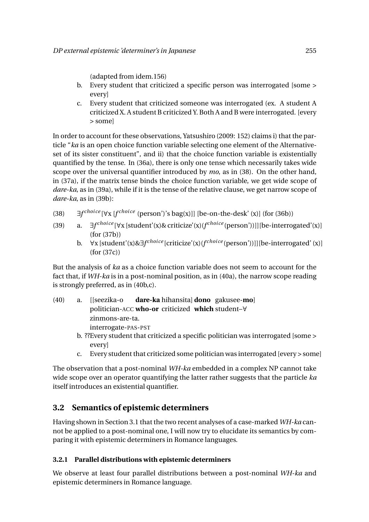(adapted from idem.156)

- b. Every student that criticized a specific person was interrogated [some > every]
- c. Every student that criticized someone was interrogated (ex. A student A criticized X. A student B criticized Y. Both A and B were interrogated. [every > some]

In order to account for these observations, Yatsushiro (2009: 152) claims i) that the particle "*ka* is an open choice function variable selecting one element of the Alternativeset of its sister constituent", and ii) that the choice function variable is existentially quantified by the tense. In (36a), there is only one tense which necessarily takes wide scope over the universal quantifier introduced by *mo*, as in (38). On the other hand, in (37a), if the matrix tense binds the choice function variable, we get wide scope of *dare-ka*, as in (39a), while if it is the tense of the relative clause, we get narrow scope of *dare-ka*, as in (39b):

- (38) ∃*f choi ce* [∀x [*<sup>f</sup> choi ce* (person')'s bag(x)]] [be-on-the-desk' (x)] (for (36b))
- (39) a. ∃*f choi ce* [∀x [student'(x)& criticize'(x)(*<sup>f</sup> choi ce* (person'))]][be-interrogated'(x)] (for (37b))
	- b. ∀x [student'(x)&∃*f choi ce* [criticize'(x)(*f choi ce* (person'))]][be-interrogated' (x)] (for (37c))

But the analysis of *ka* as a choice function variable does not seem to account for the fact that, if *WH-ka* is in a post-nominal position, as in (40a), the narrow scope reading is strongly preferred, as in (40b,c).

- (40) a. [[seezika-o politician-ACC **who-or** criticized **which** student–∀ **dare-ka** hihansita] **dono** gakusee-**mo**] zinmons-are-ta. interrogate-PAS-PST
	- b. ??Every student that criticized a specific politician was interrogated [some > every]
	- c. Every student that criticized some politician was interrogated [every > some]

The observation that a post-nominal *WH-ka* embedded in a complex NP cannot take wide scope over an operator quantifying the latter rather suggests that the particle *ka* itself introduces an existential quantifier.

## **3.2 Semantics of epistemic determiners**

Having shown in Section 3.1 that the two recent analyses of a case-marked *WH-ka* cannot be applied to a post-nominal one, I will now try to elucidate its semantics by comparing it with epistemic determiners in Romance languages.

### **3.2.1 Parallel distributions with epistemic determiners**

We observe at least four parallel distributions between a post-nominal *WH-ka* and epistemic determiners in Romance language.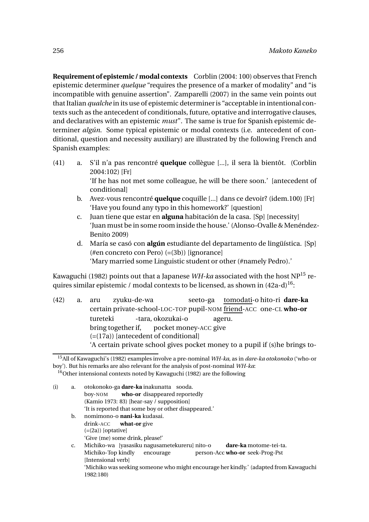**Requirement of epistemic / modal contexts** Corblin (2004: 100) observes that French epistemic determiner *quelque* "requires the presence of a marker of modality" and "is incompatible with genuine assertion". Zamparelli (2007) in the same vein points out that Italian *qualche* in its use of epistemic determiner is "acceptable in intentional contexts such as the antecedent of conditionals, future, optative and interrogative clauses, and declaratives with an epistemic *must*". The same is true for Spanish epistemic determiner *algún*. Some typical epistemic or modal contexts (i.e. antecedent of conditional, question and necessity auxiliary) are illustrated by the following French and Spanish examples:

- (41) a. S'il n'a pas rencontré **quelque** collègue [...], il sera là bientôt. (Corblin 2004:102) [Fr] 'If he has not met some colleague, he will be there soon.' [antecedent of conditional]
	- b. Avez-vous rencontré **quelque** coquille [...] dans ce devoir? (idem.100) [Fr] 'Have you found any typo in this homework?' [question]
	- c. Juan tiene que estar en **alguna** habitación de la casa. [Sp] [necessity] 'Juan must be in some room inside the house.' (Alonso-Ovalle & Menéndez-Benito 2009)
	- d. María se casó con **algún** estudiante del departamento de lingüística. [Sp] (#en concreto con Pero) (=(3b)) [ignorance] 'Mary married some Linguistic student or other (#namely Pedro).'

Kawaguchi (1982) points out that a Japanese *WH-ka* associated with the host NP<sup>15</sup> requires similar epistemic / modal contexts to be licensed, as shown in  $(42a-d)^{16}$ :

(42) a. aru certain private-school-LOC-TOP pupil-NOM friend-ACC one-CL **who-or** zyuku-de-wa seeto-ga tomodati-o hito-ri **dare-ka** tureteki bring together if, -tara, okozukai-o pocket money-ACC give ageru.  $(=(17a))$  [antecedent of conditional] 'A certain private school gives pocket money to a pupil if (s)he brings to-

<sup>15</sup>All of Kawaguchi's (1982) examples involve a pre-nominal *WH-ka*, as in *dare-ka otokonoko* ('who-or boy'). But his remarks are also relevant for the analysis of post-nominal *WH-ka*: <sup>16</sup>Other intensional contexts noted by Kawaguchi (1982) are the following

| (i) | a. | otokonoko-ga dare-ka inakunatta sooda.                                                |
|-----|----|---------------------------------------------------------------------------------------|
|     |    | who-or disappeared reportedly<br>bov-NOM                                              |
|     |    | (Kamio 1973: 83) [hear-say / supposition]                                             |
|     |    | 'It is reported that some boy or other disappeared.'                                  |
|     | b. | nomimono-o nani-ka kudasai.                                                           |
|     |    | $drink$ -ACC what-or give                                                             |
|     |    | (=(2a)) [optative]                                                                    |
|     |    | 'Give (me) some drink, please!'                                                       |
|     | C. | Michiko-wa [yasasiku nagusametekureru] nito-o<br>dare-ka motome-tei-ta.               |
|     |    | Michiko-Top kindly<br>person-Acc who-or seek-Prog-Pst<br>encourage                    |
|     |    | [Intensional verb]                                                                    |
|     |    | 'Michiko was seeking someone who might encourage her kindly.' (adapted from Kawaguchi |
|     |    | 1982:180)                                                                             |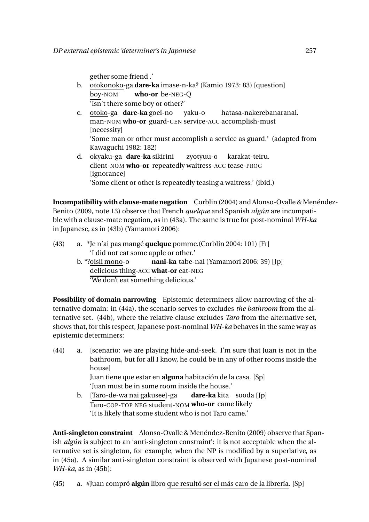gether some friend .'

- b. <u>otokonoko</u>-ga **dare-ka** imase-n-ka? (Kamio 1973: 83) [question] boy-NOM **who-or** be-NEG-Q 'Isn't there some boy or other?'
- c. otoko-ga **dare-ka** goei-no man-NOM **who-or** guard-GEN service-ACC accomplish-must yaku-o hatasa-nakerebanaranai. [necessity] 'Some man or other must accomplish a service as guard.' (adapted from Kawaguchi 1982: 182)
- d. okyaku-ga **dare-ka** sikirini client-NOM **who-or** repeatedly waitress-ACC tease-PROG zyotyuu-o karakat-teiru. [ignorance] 'Some client or other is repeatedly teasing a waitress.' (ibid.)

**Incompatibility with clause-mate negation** Corblin (2004) and Alonso-Ovalle & Menéndez-Benito (2009, note 13) observe that French *quelque* and Spanish *algún* are incompatible with a clause-mate negation, as in (43a). The same is true for post-nominal *WH-ka* in Japanese, as in (43b) (Yamamori 2006):

- (43) a. \*Je n'ai pas mangé **quelque** pomme.(Corblin 2004: 101) [Fr] 'I did not eat some apple or other.'
	- b. \*?oisii mono-o delicious thing-ACC **what-or** eat-NEG **nani-ka** tabe-nai (Yamamori 2006: 39) [Jp] 'We don't eat something delicious.'

**Possibility of domain narrowing** Epistemic determiners allow narrowing of the alternative domain: in (44a), the scenario serves to excludes *the bathroom* from the alternative set. (44b), where the relative clause excludes *Taro* from the alternative set, shows that, for this respect, Japanese post-nominal *WH-ka* behaves in the same way as epistemic determiners:

- (44) a. [scenario: we are playing hide-and-seek. I'm sure that Juan is not in the bathroom, but for all I know, he could be in any of other rooms inside the house] Juan tiene que estar en **alguna** habitación de la casa. [Sp] 'Juan must be in some room inside the house.'
	- b. [Taro-de-wa nai gakusee]-ga Taro-COP-TOP NEG student-NOM **who-or** came likely **dare-ka** kita sooda [Jp] 'It is likely that some student who is not Taro came.'

**Anti-singleton constraint** Alonso-Ovalle & Menéndez-Benito (2009) observe that Spanish *algún* is subject to an 'anti-singleton constraint': it is not acceptable when the alternative set is singleton, for example, when the NP is modified by a superlative, as in (45a). A similar anti-singleton constraint is observed with Japanese post-nominal *WH-ka*, as in (45b):

(45) a. #Juan compró **algún** libro que resultó ser el más caro de la librería. [Sp]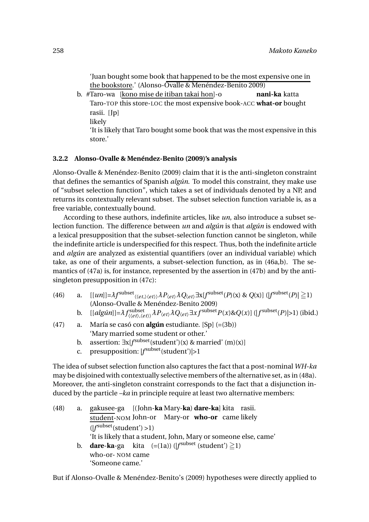'Juan bought some book that happened to be the most expensive one in the bookstore.' (Alonso-Ovalle & Menéndez-Benito 2009)

b. #Taro-wa [kono mise de itiban takai hon]-o Taro-TOP this store-LOC the most expensive book-ACC **what-or** bought **nani-ka** katta rasii. [Jp] likely 'It is likely that Taro bought some book that was the most expensive in this store.'

#### **3.2.2 Alonso-Ovalle & Menéndez-Benito (2009)'s analysis**

Alonso-Ovalle & Menéndez-Benito (2009) claim that it is the anti-singleton constraint that defines the semantics of Spanish *algún*. To model this constraint, they make use of "subset selection function", which takes a set of individuals denoted by a NP, and returns its contextually relevant subset. The subset selection function variable is, as a free variable, contextually bound.

According to these authors, indefinite articles, like *un*, also introduce a subset selection function. The difference between *un* and *algún* is that *algún* is endowed with a lexical presupposition that the subset-selection function cannot be singleton, while the indefinite article is underspecified for this respect. Thus, both the indefinite article and *algún* are analyzed as existential quantifiers (over an individual variable) which take, as one of their arguments, a subset-selection function, as in (46a,b). The semantics of (47a) is, for instance, represented by the assertion in (47b) and by the antisingleton presupposition in (47c):

- (46) a.  $[[un]] = \lambda f^{\text{subset}} \langle \langle et, \rangle \langle et \rangle \rangle \lambda P_{\langle et \rangle} \lambda Q_{\langle et \rangle} \exists x [f^{\text{subset}}(P)(x) \& Q(x)] ([f^{\text{subset}}(P)] \geq 1)$ (Alonso-Ovalle & Menéndez-Benito 2009)
	- b.  $[[algin]] = \lambda f^{subset}_{\langle (et), (et) \rangle} \lambda P_{\langle et \rangle} \lambda Q_{\langle et \rangle} \exists x f^{subset} P(x) \& Q(x)] \left( |f^{subset}(P)| > 1 \right)$  (ibid.)
- (47) a. María se casó con **algún** estudiante. [Sp] (=(3b)) 'Mary married some student or other.'
	- b. assertion:  $\exists x [f^{\text{subset}}(\text{student}')(x) \& \text{married}'(\text{m})(x)]$
	- c. presupposition: |*f* subset(student')|>1

The idea of subset selection function also captures the fact that a post-nominal *WH-ka* may be disjoined with contextually selective members of the alternative set, as in (48a). Moreover, the anti-singleton constraint corresponds to the fact that a disjunction induced by the particle *–ka* in principle require at least two alternative members:

(48) a. gakusee-ga [(John-**ka** Mary-**ka**) **dare-ka**] kita rasii. student-NOM John-or Mary-or **who-or** came likely (|*f* subset(student') >1) 'It is likely that a student, John, Mary or someone else, came' b. **dare-ka**-ga kita  $(=(1a))$  ( $|f^{\text{subset}}$  (student')  $\geqq$ 1) who-or- NOM came 'Someone came.'

But if Alonso-Ovalle & Menéndez-Benito's (2009) hypotheses were directly applied to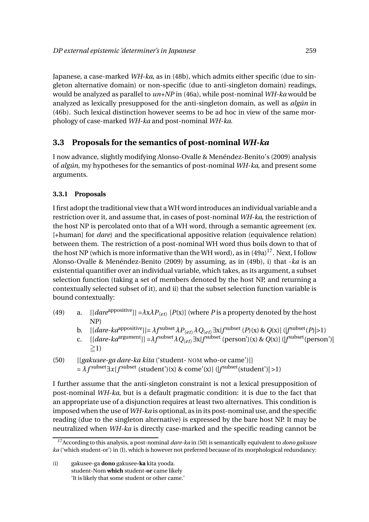Japanese, a case-marked *WH-ka*, as in (48b), which admits either specific (due to singleton alternative domain) or non-specific (due to anti-singleton domain) readings, would be analyzed as parallel to *un+NP* in (46a), while post-nominal *WH-ka* would be analyzed as lexically presupposed for the anti-singleton domain, as well as *algún* in (46b). Such lexical distinction however seems to be ad hoc in view of the same morphology of case-marked *WH-ka* and post-nominal *WH-ka*.

# **3.3 Proposals for the semantics of post-nominal** *WH-ka*

I now advance, slightly modifying Alonso-Ovalle & Menéndez-Benito's (2009) analysis of *algún*, my hypotheses for the semantics of post-nominal *WH-ka*, and present some arguments.

### **3.3.1 Proposals**

I first adopt the traditional view that a WH word introduces an individual variable and a restriction over it, and assume that, in cases of post-nominal *WH-ka*, the restriction of the host NP is percolated onto that of a WH word, through a semantic agreement (ex. [+human] for *dare*) and the specificational appositive relation (equivalence relation) between them. The restriction of a post-nominal WH word thus boils down to that of the host NP (which is more informative than the WH word), as in  $(49a)^{17}$ . Next, I follow Alonso-Ovalle & Menéndez-Benito (2009) by assuming, as in (49b), i) that -*ka* is an existential quantifier over an individual variable, which takes, as its argument, a subset selection function (taking a set of members denoted by the host NP, and returning a contextually selected subset of it), and ii) that the subset selection function variable is bound contextually:

- (49) a.  $[[\text{dare}^{appositive}]] = \lambda x \lambda P_{\langle e \rangle} [P(x)]$  (where *P* is a property denoted by the host NP)
	- b.  $[(dare-ka^{approxitive})]=\lambda f^{\text{subset}}_{\text{c}et}\lambda P_{\langle et\rangle}\lambda Q_{\langle et\rangle}\exists x[f^{\text{subset}}(P)(x) \& Q(x)] ([f^{\text{subset}}(P)|>1)]$
	- c.  $[[dare ka^{argument}]] = \lambda f^{subset} \lambda Q_{\langle et \rangle} \exists x [f^{subset} (person')(x) \& Q(x)] ([f^{subset} (person')]$  $\geq$ 1)

(50) 
$$
[[gakuse-ga dare-ka kita('student-NOM who-or came')]]
$$

$$
= \lambda f^{\text{subset}} \exists x [f^{\text{subset}}(\text{student}')(x) \& \text{come}'(x)] ([f^{\text{subset}}(\text{student}')|>1)
$$

I further assume that the anti-singleton constraint is not a lexical presupposition of post-nominal *WH-ka*, but is a default pragmatic condition: it is due to the fact that an appropriate use of a disjunction requires at least two alternatives. This condition is imposed when the use of *WH-ka* is optional, as in its post-nominal use, and the specific reading (due to the singleton alternative) is expressed by the bare host NP. It may be neutralized when *WH-ka* is directly case-marked and the specific reading cannot be

<sup>17</sup>According to this analysis, a post-nominal *dare-ka* in (50) is semantically equivalent to *dono gakusee ka* ('which student-or') in (I), which is however not preferred because of its morphological redundancy:

<sup>(</sup>i) gakusee-ga **dono** gakusee**-ka** kita yooda. student-Nom **which** student-**or** came likely 'It is likely that some student or other came.'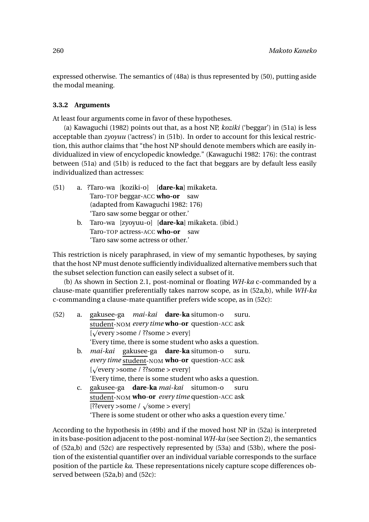expressed otherwise. The semantics of (48a) is thus represented by (50), putting aside the modal meaning.

#### **3.3.2 Arguments**

At least four arguments come in favor of these hypotheses.

(a) Kawaguchi (1982) points out that, as a host NP, *koziki* ('beggar') in (51a) is less acceptable than *zyoyuu* ('actress') in (51b). In order to account for this lexical restriction, this author claims that "the host NP should denote members which are easily individualized in view of encyclopedic knowledge." (Kawaguchi 1982: 176): the contrast between (51a) and (51b) is reduced to the fact that beggars are by default less easily individualized than actresses:

- (51) a. ?Taro-wa [koziki-o] [**dare-ka**] mikaketa. Taro-TOP beggar-ACC **who-or** saw (adapted from Kawaguchi 1982: 176) 'Taro saw some beggar or other.' b. Taro-wa [zyoyuu-o] [**dare-ka**] mikaketa. (ibid.)
	- Taro-TOP actress-ACC **who-or** saw 'Taro saw some actress or other.'

This restriction is nicely paraphrased, in view of my semantic hypotheses, by saying that the host NP must denote sufficiently individualized alternative members such that the subset selection function can easily select a subset of it.

(b) As shown in Section 2.1, post-nominal or floating *WH-ka* c-commanded by a clause-mate quantifier preferentially takes narrow scope, as in (52a,b), while *WH-ka* c-commanding a clause-mate quantifier prefers wide scope, as in (52c):

| a.             | gakusee-ga <i>mai-kai</i> <b>dare-ka</b> situmon-o<br>suru.          |
|----------------|----------------------------------------------------------------------|
|                | student-NOM every time who-or question-ACC ask                       |
|                | $[\sqrt{\text{every}} > \text{some} / ? \text{some} > \text{every}]$ |
|                | 'Every time, there is some student who asks a question.              |
| $\mathbf{b}$ . | <i>mai-kai</i> gakusee-ga <b>dare-ka</b> situmon-o<br>suru.          |
|                | every time student-NOM who-or question-ACC ask                       |
|                | [ $\sqrt{\text{every}} >$ some / ??some > every]                     |
|                | 'Every time, there is some student who asks a question.              |
| $\mathbf{C}$ . | gakusee-ga dare-ka mai-kai situmon-o<br>suru                         |
|                | student-NOM who-or every time question-ACC ask                       |
|                | [??every >some / $\sqrt{\text{some}}$ > every]                       |
|                | 'There is some student or other who asks a question every time.'     |
|                |                                                                      |

According to the hypothesis in (49b) and if the moved host NP in (52a) is interpreted in its base-position adjacent to the post-nominal *WH-ka* (see Section 2), the semantics of (52a,b) and (52c) are respectively represented by (53a) and (53b), where the position of the existential quantifier over an individual variable corresponds to the surface position of the particle *ka*. These representations nicely capture scope differences observed between (52a,b) and (52c):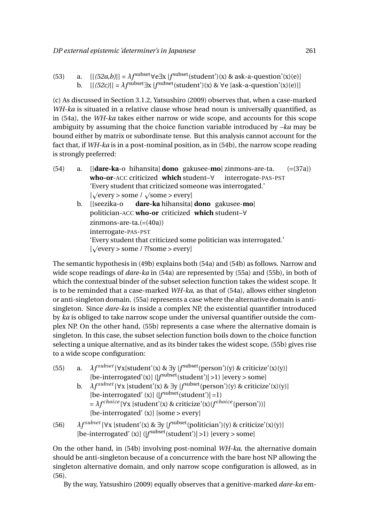| (53) | a. $[[(52a,b)]] = \lambda f^{\text{subset}} \forall e \exists x [f^{\text{subset}}(\text{student}')(x) \& \text{ask-a-qression'}(x)(e)]$ |
|------|------------------------------------------------------------------------------------------------------------------------------------------|
|      | b. $[[(52c)]] = \lambda f^{\text{subset}} \exists x [f^{\text{subset}}(\text{student}')(x) \& \forall e [\text{ask-a-question}'(x)(e)]]$ |

(c) As discussed in Section 3.1.2, Yatsushiro (2009) observes that, when a case-marked *WH-ka* is situated in a relative clause whose head noun is universally quantified, as in (54a), the *WH-ka* takes either narrow or wide scope, and accounts for this scope ambiguity by assuming that the choice function variable introduced by *–ka* may be bound either by matrix or subordinate tense. But this analysis cannot account for the fact that, if *WH-ka* is in a post-nominal position, as in (54b), the narrow scope reading is strongly preferred:

- (54) a. [[**dare-ka**-o hihansita] **dono** gakusee-**mo**] zinmons-are-ta. **who-or**-ACC criticized **which** student–∀ interrogate-PAS-PST  $(=(37a))$ 'Every student that criticized someone was interrogated.'  $[\sqrt{\text{every}}] >$  some /  $\sqrt{\text{some}}$  > every] b. [[seezika-o **dare-ka** hihansita] **dono** gakusee-**mo**]
	- politician-ACC **who-or** criticized **which** student–∀ zinmons-are-ta.(=(40a)) interrogate-PAS-PST 'Every student that criticized some politician was interrogated.'  $[\sqrt{\text{every}}] >$  some / ??some > every]

The semantic hypothesis in (49b) explains both (54a) and (54b) as follows. Narrow and wide scope readings of *dare-ka* in (54a) are represented by (55a) and (55b), in both of which the contextual binder of the subset selection function takes the widest scope. It is to be reminded that a case-marked *WH-ka*, as that of (54a), allows either singleton or anti-singleton domain. (55a) represents a case where the alternative domain is antisingleton. Since *dare-ka* is inside a complex NP, the existential quantifier introduced by *ka* is obliged to take narrow scope under the universal quantifier outside the complex NP. On the other hand, (55b) represents a case where the alternative domain is singleton. In this case, the subset selection function boils down to the choice function selecting a unique alternative, and as its binder takes the widest scope, (55b) gives rise to a wide scope configuration:

- (55) a.  $\lambda f^{subset}$  [ $\forall$ x[student'(x) &  $\exists$ y [ $f^{subset}$  (person')(y) & criticize'(x)(y)] [be-interrogated'(x)] ([f<sup>subset</sup>(student')| >1) [every > some]
	- b.  $\lambda f^{subset}$  [ $\forall$ x [student'(x) &  $\exists$ y [ $f^{subset}$ (person')(y) & criticize'(x)(y)] [be-interrogated' (x)]  $(|f^{\text{subset}}(student')|=1)$ = *λf choi ce* [∀x [student'(x) & criticize'(x)(*<sup>f</sup> choi ce* (person'))]  $[be-interrogated'(x)]$  [some > every]
- (56) *λf subset* [∀x [student'(x) & <sup>∃</sup>y [*<sup>f</sup>* subset(politician')(y) & criticize'(x)(y)] [be-interrogated' (x)] ([f<sup>subset</sup>(student')| >1) [every > some]

On the other hand, in (54b) involving post-nominal *WH-ka*, the alternative domain should be anti-singleton because of a concurrence with the bare host NP allowing the singleton alternative domain, and only narrow scope configuration is allowed, as in (56).

By the way, Yatsushiro (2009) equally observes that a genitive-marked *dare-ka* em-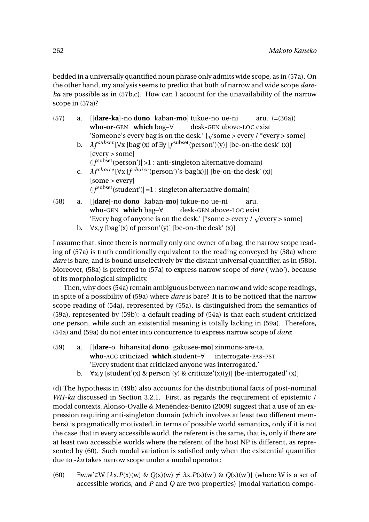bedded in a universally quantified noun phrase only admits wide scope, as in (57a). On the other hand, my analysis seems to predict that both of narrow and wide scope *dareka* are possible as in (57b,c). How can I account for the unavailability of the narrow scope in (57a)?

| (57) | a.             | $\left[ \frac{dare-ka}{n \cdot 0} \right]$ -no dono kaban-mo $\left[ \frac{du}{dx} \right]$ tukue-no ue-ni aru. $\left( = (36a) \right)$ |
|------|----------------|------------------------------------------------------------------------------------------------------------------------------------------|
|      |                | $who-or-GEN which bag-\forall desk-GEN above-LOC exist$                                                                                  |
|      |                | 'Someone's every bag is on the desk.' [ $\sqrt{\text{some}}$ > every / *every > some]                                                    |
|      | $\mathbf{b}$ . | $\lambda f^{subset}$ [ $\forall$ x [bag'(x) of $\exists$ y [ $f^{subset}$ (person')(y)] [be-on-the desk' (x)]                            |
|      |                | [every > some]                                                                                                                           |
|      |                | $( fsubset(person')  > 1$ : anti-singleton alternative domain)                                                                           |
|      | $C_{\bullet}$  | $\lambda f^{choice}$ [ $\forall$ x [ $f^{choice}$ (person')'s-bag(x)]] [be-on-the desk' (x)]                                             |
|      |                | [some > every]                                                                                                                           |
|      |                | $( fsubset(student') =1$ : singleton alternative domain)                                                                                 |
| (58) | a.             | [ <b>dare</b> ]-no <b>dono</b> kaban- <b>mo</b> ] tukue-no ue-ni<br>aru.                                                                 |
|      |                | $who$ -GEN which bag- $\forall$ desk-GEN above-LOC exist                                                                                 |
|      |                | 'Every bag of anyone is on the desk.' [*some > every / $\sqrt{\text{every}}$ > some]                                                     |
|      | b.             | $\forall x, y$ [bag'(x) of person'(y)] [be-on-the desk' (x)]                                                                             |

I assume that, since there is normally only one owner of a bag, the narrow scope reading of (57a) is truth conditionally equivalent to the reading conveyed by (58a) where *dare* is bare, and is bound unselectively by the distant universal quantifier, as in (58b). Moreover, (58a) is preferred to (57a) to express narrow scope of *dare* ('who'), because of its morphological simplicity.

Then, why does (54a) remain ambiguous between narrow and wide scope readings, in spite of a possibility of (59a) where *dare* is bare? It is to be noticed that the narrow scope reading of (54a), represented by (55a), is distinguished from the semantics of (59a), represented by (59b): a default reading of (54a) is that each student criticized one person, while such an existential meaning is totally lacking in (59a). Therefore, (54a) and (59a) do not enter into concurrence to express narrow scope of *dare*:

- (59) a. [[**dare**-o hihansita] **dono** gakusee-**mo**] zinmons-are-ta. **who**-ACC criticized **which** student–∀ interrogate-PAS-PST 'Every student that criticized anyone was interrogated.'
	- b.  $\forall x, y$  [student'(x) & person'(y) & criticize'(x)(y)] [be-interrogated'(x)]

(d) The hypothesis in (49b) also accounts for the distributional facts of post-nominal *WH-ka* discussed in Section 3.2.1. First, as regards the requirement of epistemic / modal contexts, Alonso-Ovalle & Menéndez-Benito (2009) suggest that a use of an expression requiring anti-singleton domain (which involves at least two different members) is pragmatically motivated, in terms of possible world semantics, only if it is not the case that in every accessible world, the referent is the same, that is, only if there are at least two accessible worlds where the referent of the host NP is different, as represented by (60). Such modal variation is satisfied only when the existential quantifier due to -*ka* takes narrow scope under a modal operator:

(60)  $\exists w, w' \in W \ [\lambda x. P(x)(w) \& Q(x)(w) \neq \lambda x. P(x)(w') \& Q(x)(w')]$  (where W is a set of accessible worlds, and *P* and *Q* are two properties) [modal variation compo-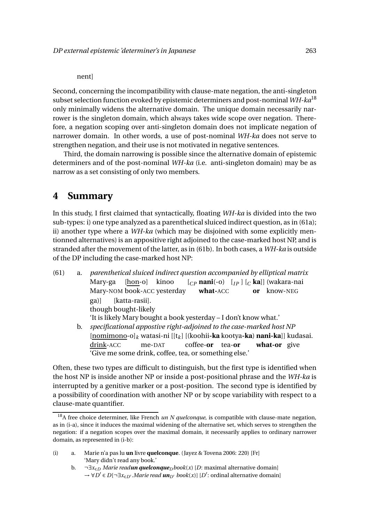#### nent]

Second, concerning the incompatibility with clause-mate negation, the anti-singleton subset selection function evoked by epistemic determiners and post-nominal *WH-ka*<sup>18</sup> only minimally widens the alternative domain. The unique domain necessarily narrower is the singleton domain, which always takes wide scope over negation. Therefore, a negation scoping over anti-singleton domain does not implicate negation of narrower domain. In other words, a use of post-nominal *WH-ka* does not serve to strengthen negation, and their use is not motivated in negative sentences.

Third, the domain narrowing is possible since the alternative domain of epistemic determiners and of the post-nominal *WH-ka* (i.e. anti-singleton domain) may be as narrow as a set consisting of only two members.

# **4 Summary**

In this study, I first claimed that syntactically, floating *WH-ka* is divided into the two sub-types: i) one type analyzed as a parenthetical sluiced indirect question, as in (61a); ii) another type where a *WH-ka* (which may be disjoined with some explicitly mentionned alternatives) is an appositive right adjoined to the case-marked host NP, and is stranded after the movement of the latter, as in (61b). In both cases, a *WH-ka* is outside of the DP including the case-marked host NP:

(61) a. *parenthetical sluiced indirect question accompanied by elliptical matrix* Mary-ga Mary-NOM book-ACC yesterday [hon-o] kinoo [*CP* **nani**(-o) [*I P* ] [*<sup>C</sup>* **ka**]] (wakara-nai **what-**ACC **or** know-NEG ga)] though bought-likely [katta-rasii]. 'It is likely Mary bought a book yesterday – I don't know what.' b. *specificational appostive right-adjoined to the case-marked host NP* [nomimono-o]*<sup>k</sup>* watasi-ni [[t*<sup>k</sup>* ] [(koohii**-ka** kootya**-ka**) **nani-ka**]] kudasai. drink-ACC me-DAT coffee-**or** tea-**or what-or** give 'Give me some drink, coffee, tea, or something else.'

Often, these two types are difficult to distinguish, but the first type is identified when the host NP is inside another NP or inside a post-positional phrase and the *WH-ka* is interrupted by a genitive marker or a post-position. The second type is identified by a possibility of coordination with another NP or by scope variability with respect to a clause-mate quantifier.

<sup>&</sup>lt;sup>18</sup>A free choice determiner, like French *un N quelconque*, is compatible with clause-mate negation, as in (i-a), since it induces the maximal widening of the alternative set, which serves to strengthen the negation: if a negation scopes over the maximal domain, it necessarily applies to ordinary narrower domain, as represented in (i-b):

<sup>(</sup>i) a. Marie n'a pas lu **un** livre **quelconque**. (Jayez & Tovena 2006: 220) [Fr] 'Mary didn't read any book.'

b. ¬∃*x*∈*D Marie readun quelconqueDbook*(*x*) [*D*: maximal alternative domain] → ∀*D* ′ ∈ *D*[¬∃*x*∈*D*′ .*Marie read unD*′ *book*(*x*)] [*D* ′ : ordinal alternative domain]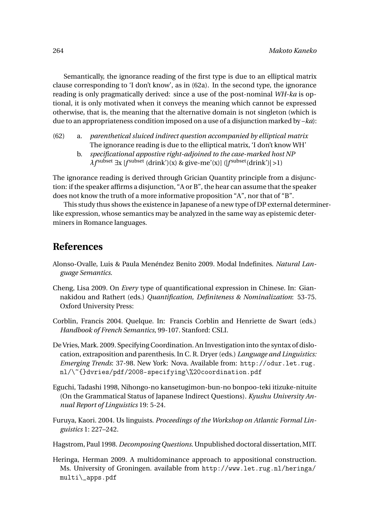Semantically, the ignorance reading of the first type is due to an elliptical matrix clause corresponding to 'I don't know', as in (62a). In the second type, the ignorance reading is only pragmatically derived: since a use of the post-nominal *WH-ka* is optional, it is only motivated when it conveys the meaning which cannot be expressed otherwise, that is, the meaning that the alternative domain is not singleton (which is due to an appropriateness condition imposed on a use of a disjunction marked by –*ka*):

- (62) a. *parenthetical sluiced indirect question accompanied by elliptical matrix* The ignorance reading is due to the elliptical matrix, 'I don't know WH'
	- b. *specificational appostive right-adjoined to the case-marked host NP λf* subset <sup>∃</sup>x [*<sup>f</sup>* subset (drink')(x) & give-me'(x)] (|*f* subset(drink')| >1)

The ignorance reading is derived through Grician Quantity principle from a disjunction: if the speaker affirms a disjunction, "A or B", the hear can assume that the speaker does not know the truth of a more informative proposition "A", nor that of "B".

This study thus shows the existence in Japanese of a new type of DP external determinerlike expression, whose semantics may be analyzed in the same way as epistemic determiners in Romance languages.

# **References**

- Alonso-Ovalle, Luis & Paula Menéndez Benito 2009. Modal Indefinites. *Natural Language Semantics*.
- Cheng, Lisa 2009. On *Every* type of quantificational expression in Chinese. In: Giannakidou and Rathert (eds.) *Quantification, Definiteness & Nominalization*: 53-75. Oxford University Press:
- Corblin, Francis 2004. Quelque. In: Francis Corblin and Henriette de Swart (eds.) *Handbook of French Semantics*, 99-107. Stanford: CSLI.
- De Vries, Mark. 2009. Specifying Coordination. An Investigation into the syntax of dislocation, extraposition and parenthesis. In C. R. Dryer (eds.) *Language and Linguistics: Emerging Trends*: 37-98. New York: Nova. Available from: http://odur.let.rug. nl/\~{}dvries/pdf/2008-specifying\%20coordination.pdf
- Eguchi, Tadashi 1998, Nihongo-no kansetugimon-bun-no bonpoo-teki itizuke-nituite (On the Grammatical Status of Japanese Indirect Questions). *Kyushu University Annual Report of Linguistics* 19: 5-24.
- Furuya, Kaori. 2004. Us linguists. *Proceedings of the Workshop on Atlantic Formal Linguistics* 1: 227–242.

Hagstrom, Paul 1998. *Decomposing Questions*. Unpublished doctoral dissertation,MIT.

Heringa, Herman 2009. A multidominance approach to appositional construction. Ms. University of Groningen. available from http://www.let.rug.nl/heringa/ multi\\_apps.pdf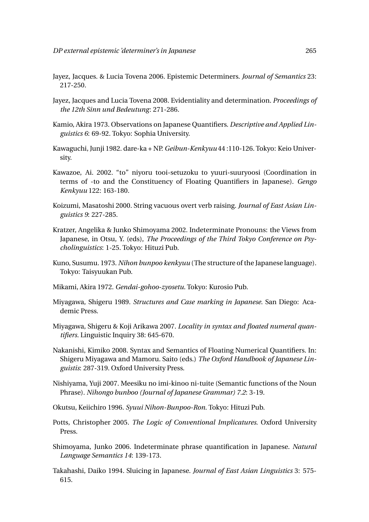- Jayez, Jacques. & Lucia Tovena 2006. Epistemic Determiners. *Journal of Semantics* 23: 217-250.
- Jayez, Jacques and Lucia Tovena 2008. Evidentiality and determination. *Proceedings of the 12th Sinn und Bedeutung*: 271-286.
- Kamio, Akira 1973. Observations on Japanese Quantifiers. *Descriptive and Applied Linguistics 6*: 69-92. Tokyo: Sophia University.
- Kawaguchi, Junji 1982. dare-ka + NP. *Geibun-Kenkyuu* 44 :110-126. Tokyo: Keio University.
- Kawazoe, Ai. 2002. "to" niyoru tooi-setuzoku to yuuri-suuryoosi (Coordination in terms of -to and the Constituency of Floating Quantifiers in Japanese). *Gengo Kenkyuu* 122: 163-180.
- Koizumi, Masatoshi 2000. String vacuous overt verb raising. *Journal of East Asian Linguistics 9*: 227-285.
- Kratzer, Angelika & Junko Shimoyama 2002. Indeterminate Pronouns: the Views from Japanese, in Otsu, Y. (eds), *The Proceedings of the Third Tokyo Conference on Psycholinguistics*: 1-25. Tokyo: Hituzi Pub.
- Kuno, Susumu. 1973. *Nihon bunpoo kenkyuu* (The structure of the Japanese language). Tokyo: Taisyuukan Pub.
- Mikami, Akira 1972. *Gendai-gohoo-zyosetu*. Tokyo: Kurosio Pub.
- Miyagawa, Shigeru 1989. *Structures and Case marking in Japanese*. San Diego: Academic Press.
- Miyagawa, Shigeru & Koji Arikawa 2007. *Locality in syntax and floated numeral quantifiers*. Linguistic Inquiry 38: 645-670.
- Nakanishi, Kimiko 2008. Syntax and Semantics of Floating Numerical Quantifiers. In: Shigeru Miyagawa and Mamoru. Saito (eds.) *The Oxford Handbook of Japanese Linguistis*: 287-319. Oxford University Press.
- Nishiyama, Yuji 2007. Meesiku no imi-kinoo ni-tuite (Semantic functions of the Noun Phrase). *Nihongo bunboo (Journal of Japanese Grammar) 7.2*: 3-19.
- Okutsu, Keiichiro 1996. *Syuui Nihon-Bunpoo-Ron*. Tokyo: Hituzi Pub.
- Potts, Christopher 2005. *The Logic of Conventional Implicatures*. Oxford University Press.
- Shimoyama, Junko 2006. Indeterminate phrase quantification in Japanese. *Natural Language Semantics 14*: 139-173.
- Takahashi, Daiko 1994. Sluicing in Japanese. *Journal of East Asian Linguistics* 3: 575- 615.